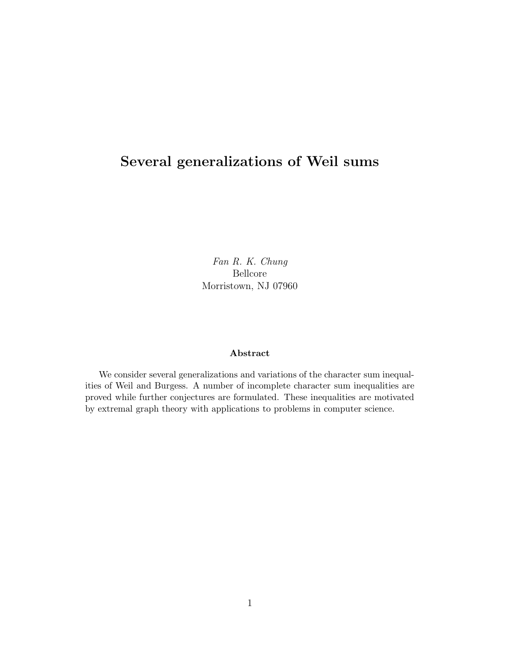# Several generalizations of Weil sums

Fan R. K. Chung Bellcore Morristown, NJ 07960

#### Abstract

We consider several generalizations and variations of the character sum inequalities of Weil and Burgess. A number of incomplete character sum inequalities are proved while further conjectures are formulated. These inequalities are motivated by extremal graph theory with applications to problems in computer science.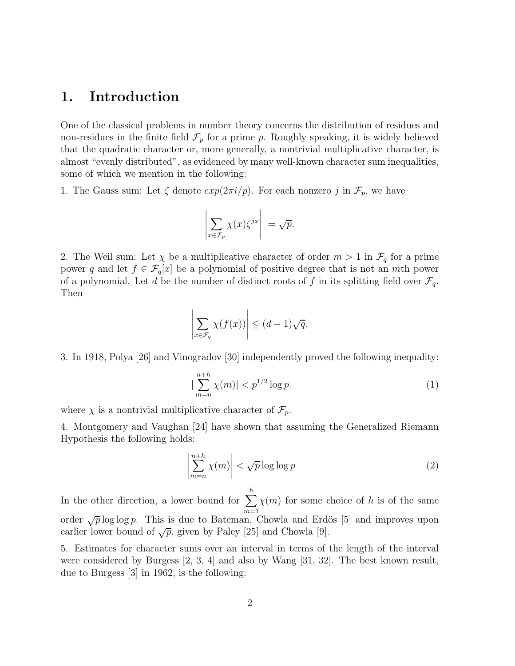## 1. Introduction

One of the classical problems in number theory concerns the distribution of residues and non-residues in the finite field  $\mathcal{F}_p$  for a prime p. Roughly speaking, it is widely believed that the quadratic character or, more generally, a nontrivial multiplicative character, is almost "evenly distributed", as evidenced by many well-known character sum inequalities, some of which we mention in the following:

1. The Gauss sum: Let  $\zeta$  denote  $exp(2\pi i/p)$ . For each nonzero j in  $\mathcal{F}_p$ , we have

$$
\left| \sum_{x \in \mathcal{F}_p} \chi(x) \zeta^{jx} \right| = \sqrt{p}.
$$

2. The Weil sum: Let  $\chi$  be a multiplicative character of order  $m > 1$  in  $\mathcal{F}_q$  for a prime power q and let  $f \in \mathcal{F}_q[x]$  be a polynomial of positive degree that is not an mth power of a polynomial. Let d be the number of distinct roots of f in its splitting field over  $\mathcal{F}_q$ . Then

$$
\left| \sum_{x \in \mathcal{F}_q} \chi(f(x)) \right| \le (d-1)\sqrt{q}.
$$

3. In 1918, Polya [26] and Vinogradov [30] independently proved the following inequality:

$$
|\sum_{m=n}^{n+h} \chi(m)| < p^{1/2} \log p. \tag{1}
$$

where  $\chi$  is a nontrivial multiplicative character of  $\mathcal{F}_p$ .

4. Montgomery and Vaughan [24] have shown that assuming the Generalized Riemann Hypothesis the following holds:

$$
\left| \sum_{m=n}^{n+h} \chi(m) \right| < \sqrt{p} \log \log p \tag{2}
$$

In the other direction, a lower bound for  $\sum_{n=1}^h$  $m=1$  $\chi(m)$  for some choice of h is of the same order  $\sqrt{p} \log \log p$ . This is due to Bateman, Chowla and Erdös [5] and improves upon earlier lower bound of  $\sqrt{p}$ , given by Paley [25] and Chowla [9].

5. Estimates for character sums over an interval in terms of the length of the interval were considered by Burgess [2, 3, 4] and also by Wang [31, 32]. The best known result, due to Burgess [3] in 1962, is the following: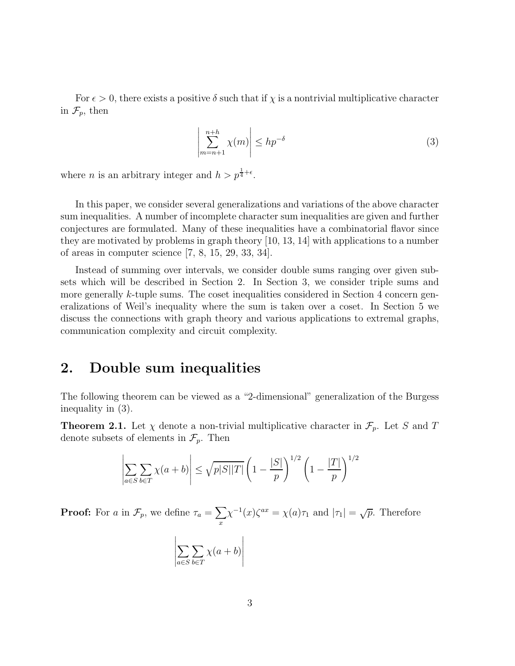For  $\epsilon > 0$ , there exists a positive  $\delta$  such that if  $\chi$  is a nontrivial multiplicative character in  $\mathcal{F}_p$ , then

$$
\left| \sum_{m=n+1}^{n+h} \chi(m) \right| \le h p^{-\delta} \tag{3}
$$

where *n* is an arbitrary integer and  $h > p^{\frac{1}{4} + \epsilon}$ .

In this paper, we consider several generalizations and variations of the above character sum inequalities. A number of incomplete character sum inequalities are given and further conjectures are formulated. Many of these inequalities have a combinatorial flavor since they are motivated by problems in graph theory [10, 13, 14] with applications to a number of areas in computer science [7, 8, 15, 29, 33, 34].

Instead of summing over intervals, we consider double sums ranging over given subsets which will be described in Section 2. In Section 3, we consider triple sums and more generally k-tuple sums. The coset inequalities considered in Section 4 concern generalizations of Weil's inequality where the sum is taken over a coset. In Section 5 we discuss the connections with graph theory and various applications to extremal graphs, communication complexity and circuit complexity.

# 2. Double sum inequalities

The following theorem can be viewed as a "2-dimensional" generalization of the Burgess inequality in (3).

**Theorem 2.1.** Let  $\chi$  denote a non-trivial multiplicative character in  $\mathcal{F}_p$ . Let S and T denote subsets of elements in  $\mathcal{F}_p$ . Then

$$
\left| \sum_{a \in S} \sum_{b \in T} \chi(a+b) \right| \leq \sqrt{p|S||T|} \left(1 - \frac{|S|}{p}\right)^{1/2} \left(1 - \frac{|T|}{p}\right)^{1/2}
$$

**Proof:** For a in  $\mathcal{F}_p$ , we define  $\tau_a = \sum$ x  $\chi^{-1}(x)\zeta^{ax} = \chi(a)\tau_1$  and  $|\tau_1| = \sqrt{p}$ . Therefore

$$
\left|\sum_{a \in S} \sum_{b \in T} \chi(a+b)\right|
$$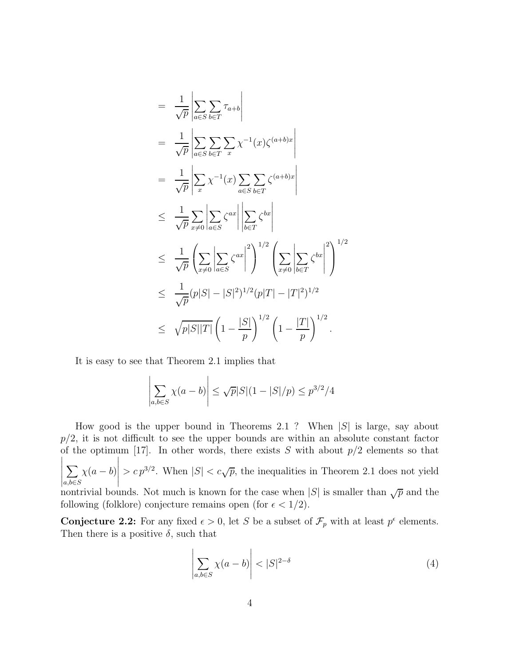$$
= \frac{1}{\sqrt{p}} \left| \sum_{a \in S} \sum_{b \in T} \tau_{a+b} \right|
$$
  
\n
$$
= \frac{1}{\sqrt{p}} \left| \sum_{a \in S} \sum_{b \in T} \sum_{x} \chi^{-1}(x) \zeta^{(a+b)x} \right|
$$
  
\n
$$
= \frac{1}{\sqrt{p}} \left| \sum_{x} \chi^{-1}(x) \sum_{a \in S} \sum_{b \in T} \zeta^{(a+b)x} \right|
$$
  
\n
$$
\leq \frac{1}{\sqrt{p}} \sum_{x \neq 0} \left| \sum_{a \in S} \zeta^{ax} \right| \left| \sum_{b \in T} \zeta^{bx} \right|
$$
  
\n
$$
\leq \frac{1}{\sqrt{p}} \left( \sum_{x \neq 0} \left| \sum_{a \in S} \zeta^{ax} \right|^{2} \right)^{1/2} \left( \sum_{x \neq 0} \left| \sum_{b \in T} \zeta^{bx} \right|^{2} \right)^{1/2}
$$
  
\n
$$
\leq \frac{1}{\sqrt{p}} (p|S| - |S|^{2})^{1/2} (p|T| - |T|^{2})^{1/2}
$$
  
\n
$$
\leq \sqrt{p|S||T|} \left( 1 - \frac{|S|}{p} \right)^{1/2} \left( 1 - \frac{|T|}{p} \right)^{1/2}.
$$

It is easy to see that Theorem 2.1 implies that

$$
\left| \sum_{a,b \in S} \chi(a-b) \right| \le \sqrt{p}|S|(1-|S|/p) \le p^{3/2}/4
$$

How good is the upper bound in Theorems 2.1 ? When  $|S|$  is large, say about  $p/2$ , it is not difficult to see the upper bounds are within an absolute constant factor of the optimum [17]. In other words, there exists  $S$  with about  $p/2$  elements so that  $\sum$  $\sum_{a,b\in S}\chi(a-b)$   $> c p^{3/2}$ . When  $|S| < c \sqrt{p}$ , the inequalities in Theorem 2.1 does not yield nontrivial bounds. Not much is known for the case when  $|S|$  is smaller than  $\sqrt{p}$  and the following (folklore) conjecture remains open (for  $\epsilon < 1/2$ ).

**Conjecture 2.2:** For any fixed  $\epsilon > 0$ , let S be a subset of  $\mathcal{F}_p$  with at least  $p^{\epsilon}$  elements. Then there is a positive  $\delta$ , such that

$$
\left| \sum_{a,b \in S} \chi(a-b) \right| < |S|^{2-\delta} \tag{4}
$$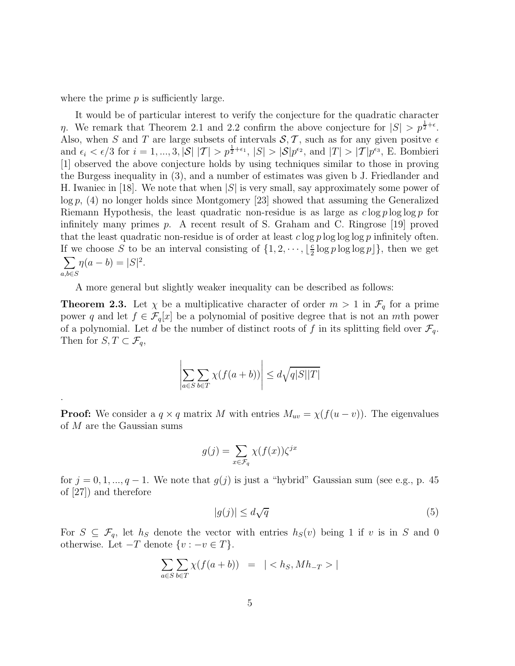where the prime  $p$  is sufficiently large.

.

It would be of particular interest to verify the conjecture for the quadratic character  $\eta$ . We remark that Theorem 2.1 and 2.2 confirm the above conjecture for  $|S| > p^{\frac{1}{2}+\epsilon}$ . Also, when S and T are large subsets of intervals  $S, T$ , such as for any given positve  $\epsilon$ and  $\epsilon_i < \epsilon/3$  for  $i = 1, ..., 3$ ,  $|\mathcal{S}| |\mathcal{T}| > p^{\frac{1}{2}+\epsilon_1}$ ,  $|S| > |\mathcal{S}|p^{\epsilon_2}$ , and  $|\mathcal{T}| > |\mathcal{T}|p^{\epsilon_3}$ , E. Bombieri [1] observed the above conjecture holds by using techniques similar to those in proving the Burgess inequality in (3), and a number of estimates was given b J. Friedlander and H. Iwaniec in [18]. We note that when  $|S|$  is very small, say approximately some power of  $log p$ , (4) no longer holds since Montgomery [23] showed that assuming the Generalized Riemann Hypothesis, the least quadratic non-residue is as large as  $c \log p \log \log p$  for infinitely many primes p. A recent result of S. Graham and C. Ringrose [19] proved that the least quadratic non-residue is of order at least  $c \log p \log \log \log p$  infinitely often. If we choose S to be an interval consisting of  $\{1, 2, \dots, \lfloor \frac{c}{2} \rfloor\}$  $\frac{c}{2} \log p \log \log p$ }, then we get  $\sum$  $\sum_{a,b \in S} \eta(a-b) = |S|^2.$ 

A more general but slightly weaker inequality can be described as follows:

**Theorem 2.3.** Let  $\chi$  be a multiplicative character of order  $m > 1$  in  $\mathcal{F}_q$  for a prime power q and let  $f \in \mathcal{F}_q[x]$  be a polynomial of positive degree that is not an mth power of a polynomial. Let d be the number of distinct roots of f in its splitting field over  $\mathcal{F}_q$ . Then for  $S, T \subset \mathcal{F}_q$ ,

$$
\left| \sum_{a \in S} \sum_{b \in T} \chi(f(a+b)) \right| \le d\sqrt{q|S||T|}
$$

**Proof:** We consider a  $q \times q$  matrix M with entries  $M_{uv} = \chi(f(u - v))$ . The eigenvalues of M are the Gaussian sums

$$
g(j) = \sum_{x \in \mathcal{F}_q} \chi(f(x))\zeta^{jx}
$$

for  $j = 0, 1, ..., q - 1$ . We note that  $g(j)$  is just a "hybrid" Gaussian sum (see e.g., p. 45) of [27]) and therefore

$$
|g(j)| \le d\sqrt{q} \tag{5}
$$

For  $S \subseteq \mathcal{F}_q$ , let  $h_S$  denote the vector with entries  $h_S(v)$  being 1 if v is in S and 0 otherwise. Let  $-T$  denote  $\{v : -v \in T\}$ .

$$
\sum_{a \in S} \sum_{b \in T} \chi(f(a+b)) = \mid \langle h_S, M h_{-T} \rangle
$$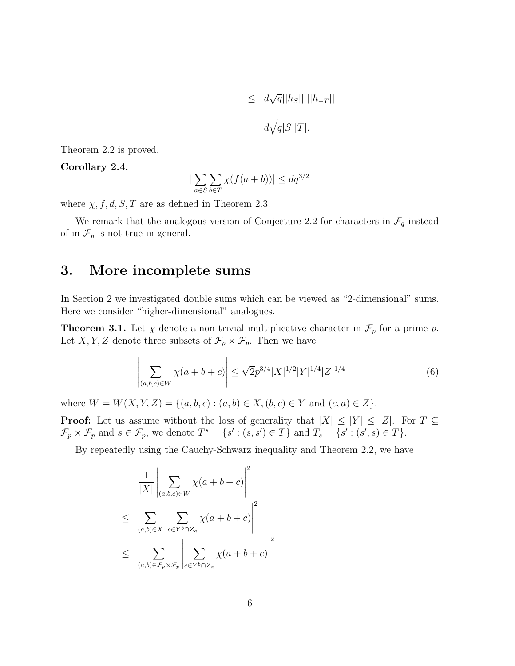$$
\leq d\sqrt{q}||h_S|| ||h_{-T}||
$$
  
=  $d\sqrt{q|S||T|}$ .

Theorem 2.2 is proved.

#### Corollary 2.4.

$$
\left|\sum_{a\in S}\sum_{b\in T}\chi(f(a+b))\right| \le dq^{3/2}
$$

where  $\chi$ , f, d, S, T are as defined in Theorem 2.3.

We remark that the analogous version of Conjecture 2.2 for characters in  $\mathcal{F}_q$  instead of in  $\mathcal{F}_p$  is not true in general.

# 3. More incomplete sums

In Section 2 we investigated double sums which can be viewed as "2-dimensional" sums. Here we consider "higher-dimensional" analogues.

**Theorem 3.1.** Let  $\chi$  denote a non-trivial multiplicative character in  $\mathcal{F}_p$  for a prime p. Let X, Y, Z denote three subsets of  $\mathcal{F}_p \times \mathcal{F}_p$ . Then we have

$$
\left| \sum_{(a,b,c)\in W} \chi(a+b+c) \right| \leq \sqrt{2} p^{3/4} |X|^{1/2} |Y|^{1/4} |Z|^{1/4}
$$
 (6)

where  $W = W(X, Y, Z) = \{(a, b, c) : (a, b) \in X, (b, c) \in Y \text{ and } (c, a) \in Z\}.$ 

**Proof:** Let us assume without the loss of generality that  $|X| \leq |Y| \leq |Z|$ . For  $T \subseteq$  $\mathcal{F}_p \times \mathcal{F}_p$  and  $s \in \mathcal{F}_p$ , we denote  $T^s = \{s' : (s, s') \in T\}$  and  $T_s = \{s' : (s', s) \in T\}$ .

By repeatedly using the Cauchy-Schwarz inequality and Theorem 2.2, we have

$$
\frac{1}{|X|} \left| \sum_{(a,b,c)\in W} \chi(a+b+c) \right|^2
$$
  
\n
$$
\leq \sum_{(a,b)\in X} \left| \sum_{c\in Y^b \cap Z_a} \chi(a+b+c) \right|^2
$$
  
\n
$$
\leq \sum_{(a,b)\in \mathcal{F}_p \times \mathcal{F}_p} \left| \sum_{c\in Y^b \cap Z_a} \chi(a+b+c) \right|^2
$$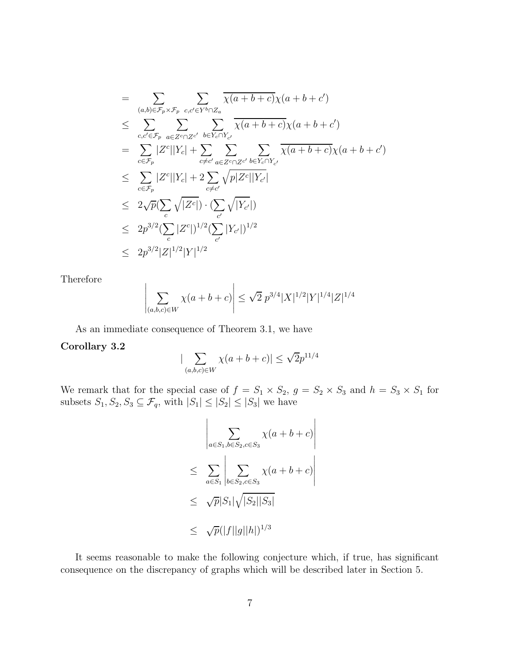$$
= \sum_{(a,b)\in\mathcal{F}_{p}\times\mathcal{F}_{p}} \sum_{c,c'\in Y^{b}\cap Z_{a}} \overline{\chi(a+b+c)}\chi(a+b+c')
$$
  
\n
$$
\leq \sum_{c,c'\in\mathcal{F}_{p}} \sum_{a\in Z^{c}\cap Z^{c'}} \sum_{b\in Y_{c}\cap Y_{c'}} \overline{\chi(a+b+c)}\chi(a+b+c')
$$
  
\n
$$
= \sum_{c\in\mathcal{F}_{p}} |Z^{c}||Y_{c}| + \sum_{c\neq c'} \sum_{a\in Z^{c}\cap Z^{c'}} \sum_{b\in Y_{c}\cap Y_{c'}} \overline{\chi(a+b+c)}\chi(a+b+c')
$$
  
\n
$$
\leq \sum_{c\in\mathcal{F}_{p}} |Z^{c}||Y_{c}| + 2 \sum_{c\neq c'} \sqrt{p|Z^{c}||Y_{c'}|}
$$
  
\n
$$
\leq 2\sqrt{p}(\sum_{c} \sqrt{|Z^{c}|}) \cdot (\sum_{c'} \sqrt{|Y_{c'}|})
$$
  
\n
$$
\leq 2p^{3/2}(\sum_{c} |Z^{c}|)^{1/2}(\sum_{c'} |Y_{c'}|)^{1/2}
$$
  
\n
$$
\leq 2p^{3/2}|Z|^{1/2}|Y|^{1/2}
$$

Therefore

$$
\left| \sum_{(a,b,c)\in W} \chi(a+b+c) \right| \leq \sqrt{2} \ p^{3/4} |X|^{1/2} |Y|^{1/4} |Z|^{1/4}
$$

As an immediate consequence of Theorem 3.1, we have

#### Corollary 3.2

$$
|\sum_{(a,b,c)\in W} \chi(a+b+c)| \leq \sqrt{2}p^{11/4}
$$

We remark that for the special case of  $f = S_1 \times S_2$ ,  $g = S_2 \times S_3$  and  $h = S_3 \times S_1$  for subsets  $S_1, S_2, S_3 \subseteq \mathcal{F}_q$ , with  $|S_1| \leq |S_2| \leq |S_3|$  we have

$$
\left| \sum_{a \in S_1, b \in S_2, c \in S_3} \chi(a+b+c) \right|
$$
  
\n
$$
\leq \sum_{a \in S_1} \left| \sum_{b \in S_2, c \in S_3} \chi(a+b+c) \right|
$$
  
\n
$$
\leq \sqrt{p}|S_1|\sqrt{|S_2||S_3|}
$$
  
\n
$$
\leq \sqrt{p}(|f||g||h|)^{1/3}
$$

It seems reasonable to make the following conjecture which, if true, has significant consequence on the discrepancy of graphs which will be described later in Section 5.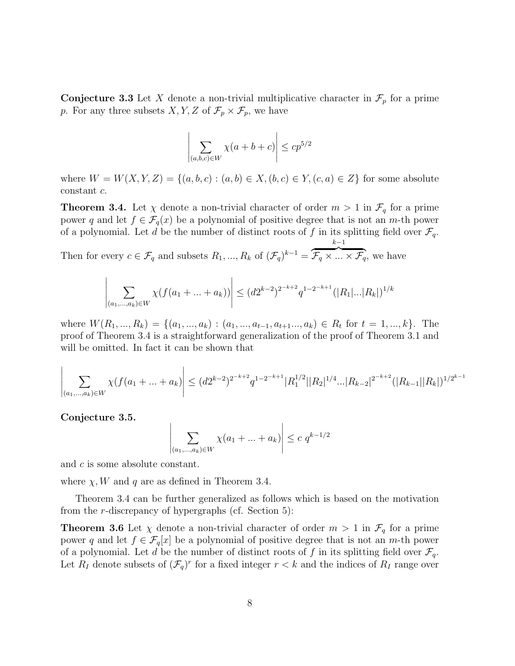**Conjecture 3.3** Let X denote a non-trivial multiplicative character in  $\mathcal{F}_p$  for a prime p. For any three subsets  $X, Y, Z$  of  $\mathcal{F}_p \times \mathcal{F}_p$ , we have

$$
\left| \sum_{(a,b,c)\in W} \chi(a+b+c) \right| \le c p^{5/2}
$$

where  $W = W(X, Y, Z) = \{(a, b, c) : (a, b) \in X, (b, c) \in Y, (c, a) \in Z\}$  for some absolute constant c.

**Theorem 3.4.** Let  $\chi$  denote a non-trivial character of order  $m > 1$  in  $\mathcal{F}_q$  for a prime power q and let  $f \in \mathcal{F}_q(x)$  be a polynomial of positive degree that is not an m-th power of a polynomial. Let d be the number of distinct roots of f in its splitting field over  $\mathcal{F}_q$ .  $k-1$ 

Then for every  $c \in \mathcal{F}_q$  and subsets  $R_1, ..., R_k$  of  $(\mathcal{F}_q)^{k-1} =$  $\widetilde{\mathcal{F}_q \times \ldots \times \mathcal{F}_q}$ , we have

$$
\left| \sum_{(a_1,\ldots,a_k)\in W} \chi(f(a_1+\ldots+a_k)) \right| \le (d2^{k-2})^{2^{-k+2}} q^{1-2^{-k+1}} (|R_1|\ldots|R_k|)^{1/k}
$$

where  $W(R_1, ..., R_k) = \{(a_1, ..., a_k) : (a_1, ..., a_{t-1}, a_{t+1}..., a_k) \in R_t \text{ for } t = 1, ..., k\}$ . The proof of Theorem 3.4 is a straightforward generalization of the proof of Theorem 3.1 and will be omitted. In fact it can be shown that

$$
\left| \sum_{(a_1,\dots,a_k)\in W} \chi(f(a_1+\dots+a_k) \right| \le (d2^{k-2})^{2^{-k+2}} q^{1-2^{-k+1}} |R_1^{1/2}| |R_2|^{1/4} \dots |R_{k-2}|^{2^{-k+2}} (|R_{k-1}| |R_k|)^{1/2^{k-1}}
$$

Conjecture 3.5.

$$
\left| \sum_{(a_1,...,a_k)\in W} \chi(a_1 + ... + a_k) \right| \le c q^{k-1/2}
$$

and c is some absolute constant.

where  $\chi$ , W and q are as defined in Theorem 3.4.

Theorem 3.4 can be further generalized as follows which is based on the motivation from the r-discrepancy of hypergraphs (cf. Section 5):

**Theorem 3.6** Let  $\chi$  denote a non-trivial character of order  $m > 1$  in  $\mathcal{F}_q$  for a prime power q and let  $f \in \mathcal{F}_q[x]$  be a polynomial of positive degree that is not an m-th power of a polynomial. Let d be the number of distinct roots of f in its splitting field over  $\mathcal{F}_q$ . Let  $R_I$  denote subsets of  $(\mathcal{F}_q)^r$  for a fixed integer  $r < k$  and the indices of  $R_I$  range over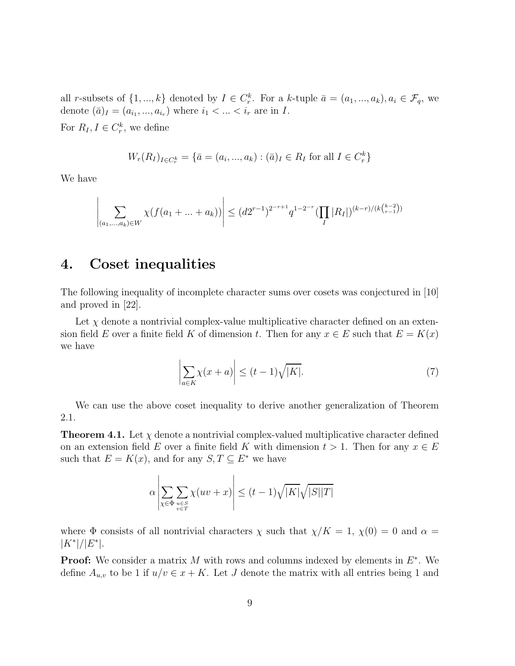all r-subsets of  $\{1, ..., k\}$  denoted by  $I \in C_r^k$ . For a k-tuple  $\bar{a} = (a_1, ..., a_k), a_i \in \mathcal{F}_q$ , we denote  $(\bar{a})_I = (a_{i_1}, ..., a_{i_r})$  where  $i_1 < ... < i_r$  are in I.

For  $R_I, I \in C_r^k$ , we define

$$
W_r(R_I)_{I \in C_r^k} = \{ \bar{a} = (a_i, ..., a_k) : (\bar{a})_I \in R_I \text{ for all } I \in C_r^k \}
$$

We have

$$
\left| \sum_{(a_1,\ldots,a_k)\in W} \chi(f(a_1+\ldots+a_k)) \right| \le (d2^{r-1})^{2^{-r+1}} q^{1-2^{-r}} (\prod_I |R_I|)^{(k-r)/(k\binom{k-2}{r-1})}
$$

# 4. Coset inequalities

The following inequality of incomplete character sums over cosets was conjectured in [10] and proved in [22].

Let  $\chi$  denote a nontrivial complex-value multiplicative character defined on an extension field E over a finite field K of dimension t. Then for any  $x \in E$  such that  $E = K(x)$ we have

$$
\left| \sum_{a \in K} \chi(x+a) \right| \le (t-1)\sqrt{|K|}. \tag{7}
$$

We can use the above coset inequality to derive another generalization of Theorem 2.1.

**Theorem 4.1.** Let  $\chi$  denote a nontrivial complex-valued multiplicative character defined on an extension field E over a finite field K with dimension  $t > 1$ . Then for any  $x \in E$ such that  $E = K(x)$ , and for any  $S, T \subseteq E^*$  we have

$$
\alpha \left| \sum_{\chi \in \Phi} \sum_{\substack{u \in S \\ v \in T}} \chi(uv + x) \right| \le (t - 1) \sqrt{|K|} \sqrt{|S||T|}
$$

where  $\Phi$  consists of all nontrivial characters  $\chi$  such that  $\chi/K = 1$ ,  $\chi(0) = 0$  and  $\alpha =$  $|K^*|/|E^*|$ .

**Proof:** We consider a matrix M with rows and columns indexed by elements in  $E^*$ . We define  $A_{u,v}$  to be 1 if  $u/v \in x + K$ . Let J denote the matrix with all entries being 1 and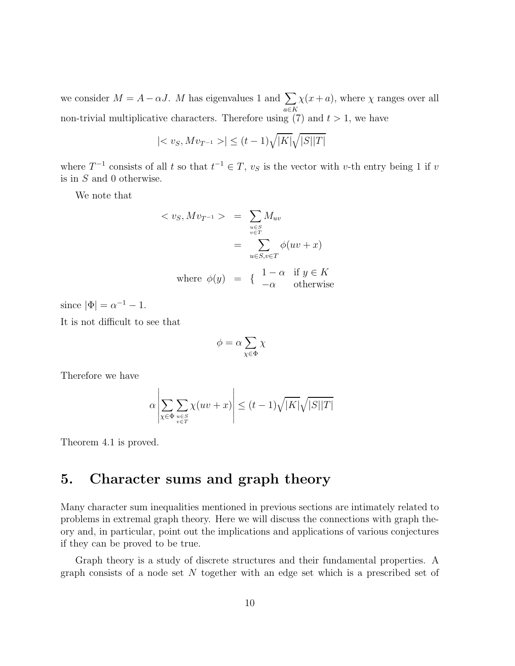we consider  $M = A - \alpha J$ . M has eigenvalues 1 and  $\sum_{a \in K}$  $\chi(x+a)$ , where  $\chi$  ranges over all non-trivial multiplicative characters. Therefore using  $(7)$  and  $t > 1$ , we have

$$
|< v_S, Mv_{T^{-1}}>| \le (t-1)\sqrt{|K|}\sqrt{|S||T|}
$$

where  $T^{-1}$  consists of all t so that  $t^{-1} \in T$ ,  $v_s$  is the vector with v-th entry being 1 if v is in  $S$  and 0 otherwise.

We note that

$$
\langle v_S, M v_{T^{-1}} \rangle = \sum_{\substack{u \in S \\ v \in T}} M_{uv}
$$

$$
= \sum_{u \in S, v \in T} \phi(uv + x)
$$
where  $\phi(y) = \begin{cases} 1 - \alpha & \text{if } y \in K \\ -\alpha & \text{otherwise} \end{cases}$ 

since  $|\Phi| = \alpha^{-1} - 1$ .

It is not difficult to see that

$$
\phi=\alpha\sum_{\chi\in\Phi}\chi
$$

Therefore we have

$$
\alpha \left| \sum_{\chi \in \Phi} \sum_{\substack{u \in S \\ v \in T}} \chi(uv + x) \right| \le (t - 1) \sqrt{|K|} \sqrt{|S||T|}
$$

Theorem 4.1 is proved.

# 5. Character sums and graph theory

Many character sum inequalities mentioned in previous sections are intimately related to problems in extremal graph theory. Here we will discuss the connections with graph theory and, in particular, point out the implications and applications of various conjectures if they can be proved to be true.

Graph theory is a study of discrete structures and their fundamental properties. A graph consists of a node set  $N$  together with an edge set which is a prescribed set of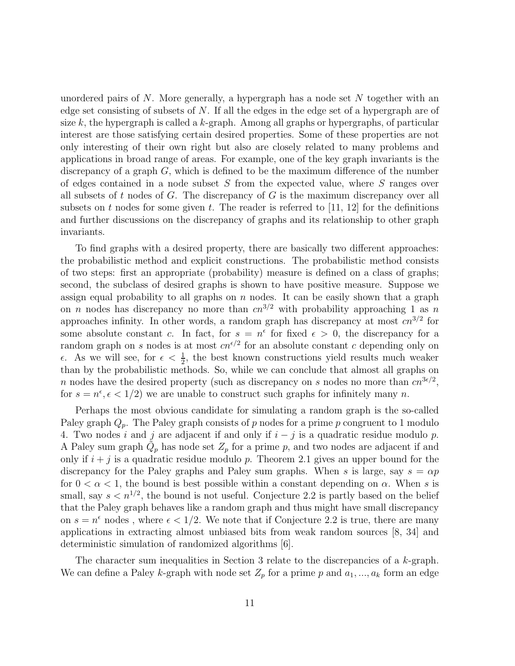unordered pairs of  $N$ . More generally, a hypergraph has a node set  $N$  together with an edge set consisting of subsets of  $N$ . If all the edges in the edge set of a hypergraph are of size k, the hypergraph is called a k-graph. Among all graphs or hypergraphs, of particular interest are those satisfying certain desired properties. Some of these properties are not only interesting of their own right but also are closely related to many problems and applications in broad range of areas. For example, one of the key graph invariants is the discrepancy of a graph  $G$ , which is defined to be the maximum difference of the number of edges contained in a node subset S from the expected value, where S ranges over all subsets of  $t$  nodes of  $G$ . The discrepancy of  $G$  is the maximum discrepancy over all subsets on t nodes for some given t. The reader is referred to  $[11, 12]$  for the definitions and further discussions on the discrepancy of graphs and its relationship to other graph invariants.

To find graphs with a desired property, there are basically two different approaches: the probabilistic method and explicit constructions. The probabilistic method consists of two steps: first an appropriate (probability) measure is defined on a class of graphs; second, the subclass of desired graphs is shown to have positive measure. Suppose we assign equal probability to all graphs on  $n$  nodes. It can be easily shown that a graph on n nodes has discrepancy no more than  $cn^{3/2}$  with probability approaching 1 as n approaches infinity. In other words, a random graph has discrepancy at most  $cn^{3/2}$  for some absolute constant c. In fact, for  $s = n^{\epsilon}$  for fixed  $\epsilon > 0$ , the discrepancy for a random graph on s nodes is at most  $cn^{\epsilon/2}$  for an absolute constant c depending only on  $\epsilon$ . As we will see, for  $\epsilon < \frac{1}{2}$ , the best known constructions yield results much weaker than by the probabilistic methods. So, while we can conclude that almost all graphs on n nodes have the desired property (such as discrepancy on s nodes no more than  $cn^{3\epsilon/2}$ , for  $s = n^{\epsilon}, \epsilon < 1/2$  we are unable to construct such graphs for infinitely many n.

Perhaps the most obvious candidate for simulating a random graph is the so-called Paley graph  $Q_p$ . The Paley graph consists of p nodes for a prime p congruent to 1 modulo 4. Two nodes i and j are adjacent if and only if  $i - j$  is a quadratic residue modulo p. A Paley sum graph  $\tilde{Q}_p$  has node set  $Z_p$  for a prime p, and two nodes are adjacent if and only if  $i + j$  is a quadratic residue modulo p. Theorem 2.1 gives an upper bound for the discrepancy for the Paley graphs and Paley sum graphs. When s is large, say  $s = \alpha p$ for  $0 < \alpha < 1$ , the bound is best possible within a constant depending on  $\alpha$ . When s is small, say  $s < n^{1/2}$ , the bound is not useful. Conjecture 2.2 is partly based on the belief that the Paley graph behaves like a random graph and thus might have small discrepancy on  $s = n^{\epsilon}$  nodes, where  $\epsilon < 1/2$ . We note that if Conjecture 2.2 is true, there are many applications in extracting almost unbiased bits from weak random sources [8, 34] and deterministic simulation of randomized algorithms [6].

The character sum inequalities in Section 3 relate to the discrepancies of a k-graph. We can define a Paley k-graph with node set  $Z_p$  for a prime p and  $a_1, ..., a_k$  form an edge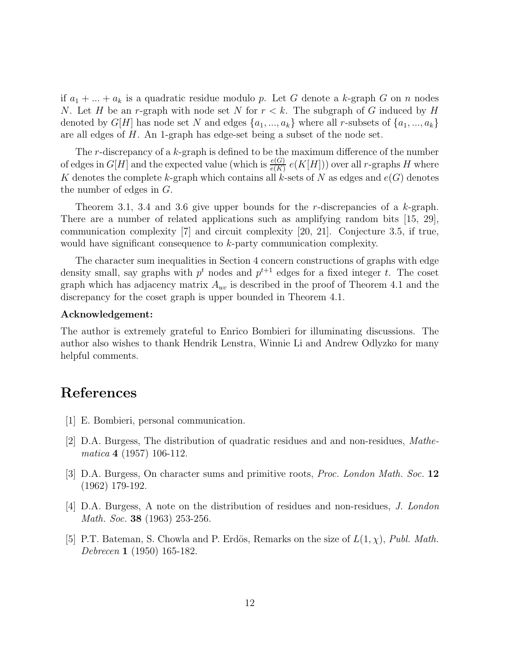if  $a_1 + \ldots + a_k$  is a quadratic residue modulo p. Let G denote a k-graph G on n nodes N. Let H be an r-graph with node set N for  $r < k$ . The subgraph of G induced by H denoted by  $G[H]$  has node set N and edges  $\{a_1, ..., a_k\}$  where all r-subsets of  $\{a_1, ..., a_k\}$ are all edges of H. An 1-graph has edge-set being a subset of the node set.

The r-discrepancy of a  $k$ -graph is defined to be the maximum difference of the number of edges in  $G[H]$  and the expected value (which is  $\frac{e(G)}{e(K)} e(K[H])$ ) over all r-graphs H where K denotes the complete k-graph which contains all k-sets of N as edges and  $e(G)$  denotes the number of edges in G.

Theorem 3.1, 3.4 and 3.6 give upper bounds for the r-discrepancies of a  $k$ -graph. There are a number of related applications such as amplifying random bits [15, 29], communication complexity [7] and circuit complexity [20, 21]. Conjecture 3.5, if true, would have significant consequence to k-party communication complexity.

The character sum inequalities in Section 4 concern constructions of graphs with edge density small, say graphs with  $p<sup>t</sup>$  nodes and  $p<sup>t+1</sup>$  edges for a fixed integer t. The coset graph which has adjacency matrix  $A_{uv}$  is described in the proof of Theorem 4.1 and the discrepancy for the coset graph is upper bounded in Theorem 4.1.

#### Acknowledgement:

The author is extremely grateful to Enrico Bombieri for illuminating discussions. The author also wishes to thank Hendrik Lenstra, Winnie Li and Andrew Odlyzko for many helpful comments.

### References

- [1] E. Bombieri, personal communication.
- [2] D.A. Burgess, The distribution of quadratic residues and and non-residues, Mathematica 4 (1957) 106-112.
- [3] D.A. Burgess, On character sums and primitive roots, Proc. London Math. Soc. 12 (1962) 179-192.
- [4] D.A. Burgess, A note on the distribution of residues and non-residues, J. London Math. Soc. **38** (1963) 253-256.
- [5] P.T. Bateman, S. Chowla and P. Erdös, Remarks on the size of  $L(1, \chi)$ , Publ. Math. Debrecen 1 (1950) 165-182.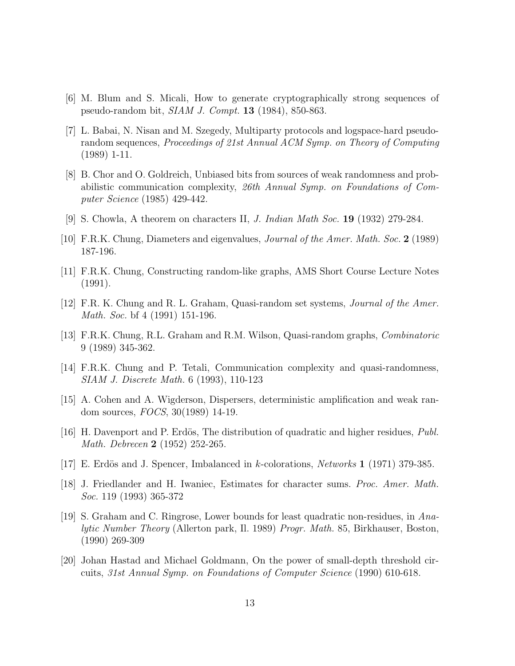- [6] M. Blum and S. Micali, How to generate cryptographically strong sequences of pseudo-random bit, SIAM J. Compt. 13 (1984), 850-863.
- [7] L. Babai, N. Nisan and M. Szegedy, Multiparty protocols and logspace-hard pseudorandom sequences, Proceedings of 21st Annual ACM Symp. on Theory of Computing (1989) 1-11.
- [8] B. Chor and O. Goldreich, Unbiased bits from sources of weak randomness and probabilistic communication complexity, 26th Annual Symp. on Foundations of Computer Science (1985) 429-442.
- [9] S. Chowla, A theorem on characters II, J. Indian Math Soc. 19 (1932) 279-284.
- [10] F.R.K. Chung, Diameters and eigenvalues, Journal of the Amer. Math. Soc. 2 (1989) 187-196.
- [11] F.R.K. Chung, Constructing random-like graphs, AMS Short Course Lecture Notes (1991).
- [12] F.R. K. Chung and R. L. Graham, Quasi-random set systems, Journal of the Amer. Math. Soc. bf 4 (1991) 151-196.
- [13] F.R.K. Chung, R.L. Graham and R.M. Wilson, Quasi-random graphs, Combinatoric 9 (1989) 345-362.
- [14] F.R.K. Chung and P. Tetali, Communication complexity and quasi-randomness, SIAM J. Discrete Math. 6 (1993), 110-123
- [15] A. Cohen and A. Wigderson, Dispersers, deterministic amplification and weak random sources, FOCS, 30(1989) 14-19.
- [16] H. Davenport and P. Erdös, The distribution of quadratic and higher residues,  $Publ.$ Math. Debrecen 2 (1952) 252-265.
- [17] E. Erdös and J. Spencer, Imbalanced in k-colorations, Networks 1 (1971) 379-385.
- [18] J. Friedlander and H. Iwaniec, Estimates for character sums. Proc. Amer. Math. Soc. 119 (1993) 365-372
- [19] S. Graham and C. Ringrose, Lower bounds for least quadratic non-residues, in Analytic Number Theory (Allerton park, Il. 1989) Progr. Math. 85, Birkhauser, Boston, (1990) 269-309
- [20] Johan Hastad and Michael Goldmann, On the power of small-depth threshold circuits, 31st Annual Symp. on Foundations of Computer Science (1990) 610-618.